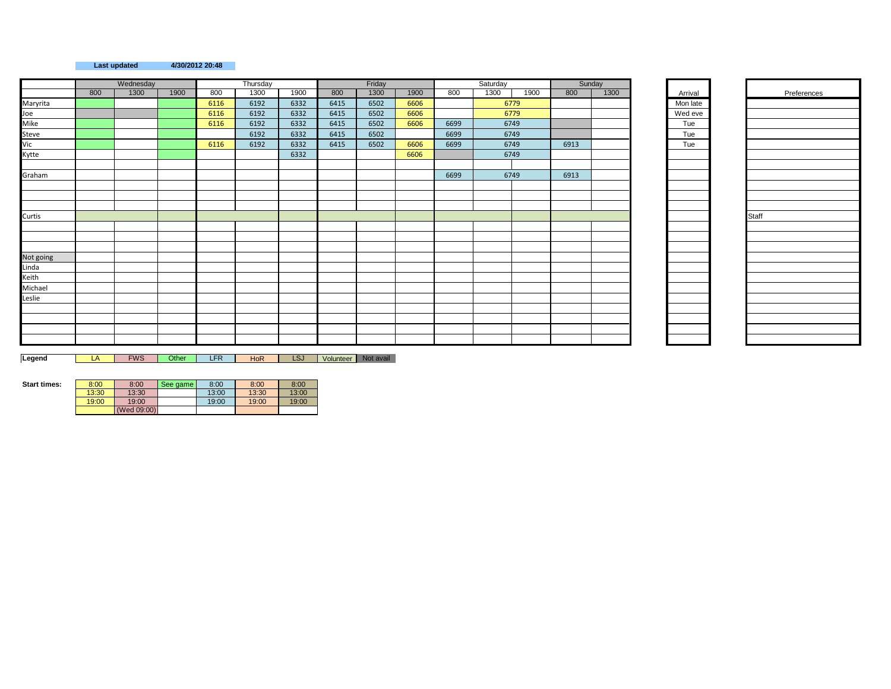## **Last updated 4/30/2012 20:48**

|                                                  |     | Wednesday |      |      | Thursday |      |      | Friday |      |      | Saturday |      |      | Sunday |          |       |
|--------------------------------------------------|-----|-----------|------|------|----------|------|------|--------|------|------|----------|------|------|--------|----------|-------|
|                                                  | 800 | 1300      | 1900 | 800  | 1300     | 1900 | 800  | 1300   | 1900 | 800  | 1300     | 1900 | 800  | 1300   | Arrival  |       |
|                                                  |     |           |      | 6116 | 6192     | 6332 | 6415 | 6502   | 6606 |      |          | 6779 |      |        | Mon late |       |
|                                                  |     |           |      | 6116 | 6192     | 6332 | 6415 | 6502   | 6606 |      |          | 6779 |      |        | Wed eve  |       |
|                                                  |     |           |      | 6116 | 6192     | 6332 | 6415 | 6502   | 6606 | 6699 |          | 6749 |      |        | Tue      |       |
|                                                  |     |           |      |      | 6192     | 6332 | 6415 | 6502   |      | 6699 |          | 6749 |      |        | Tue      |       |
| Maryrita<br>Joe<br>Mike<br>Steve<br>Vic<br>Kytte |     |           |      | 6116 | 6192     | 6332 | 6415 | 6502   | 6606 | 6699 |          | 6749 | 6913 |        | Tue      |       |
|                                                  |     |           |      |      |          | 6332 |      |        | 6606 |      |          | 6749 |      |        |          |       |
|                                                  |     |           |      |      |          |      |      |        |      |      |          |      |      |        |          |       |
| Graham                                           |     |           |      |      |          |      |      |        |      | 6699 |          | 6749 | 6913 |        |          |       |
|                                                  |     |           |      |      |          |      |      |        |      |      |          |      |      |        |          |       |
|                                                  |     |           |      |      |          |      |      |        |      |      |          |      |      |        |          |       |
|                                                  |     |           |      |      |          |      |      |        |      |      |          |      |      |        |          |       |
| Curtis                                           |     |           |      |      |          |      |      |        |      |      |          |      |      |        |          | Staff |
|                                                  |     |           |      |      |          |      |      |        |      |      |          |      |      |        |          |       |
|                                                  |     |           |      |      |          |      |      |        |      |      |          |      |      |        |          |       |
|                                                  |     |           |      |      |          |      |      |        |      |      |          |      |      |        |          |       |
|                                                  |     |           |      |      |          |      |      |        |      |      |          |      |      |        |          |       |
|                                                  |     |           |      |      |          |      |      |        |      |      |          |      |      |        |          |       |
|                                                  |     |           |      |      |          |      |      |        |      |      |          |      |      |        |          |       |
|                                                  |     |           |      |      |          |      |      |        |      |      |          |      |      |        |          |       |
| Not going<br>Linda<br>Keith<br>Michael<br>Leslie |     |           |      |      |          |      |      |        |      |      |          |      |      |        |          |       |
|                                                  |     |           |      |      |          |      |      |        |      |      |          |      |      |        |          |       |
|                                                  |     |           |      |      |          |      |      |        |      |      |          |      |      |        |          |       |
|                                                  |     |           |      |      |          |      |      |        |      |      |          |      |      |        |          |       |
|                                                  |     |           |      |      |          |      |      |        |      |      |          |      |      |        |          |       |

## Arrival Preferences<br>Mon late

Legend **LA FWS Other LFR** HoR LSJ Volunteer Not avail

| <b>Start times:</b> | 8:00  | 8:00        | See game | 8:00  | 8:00  | 8:00  |
|---------------------|-------|-------------|----------|-------|-------|-------|
|                     | 13:30 | 13:30       |          | 13:00 | 13:30 | 13:00 |
|                     | 19:00 | 19:00       |          | 19:00 | 19:00 | 19:00 |
|                     |       | (Wed 09:00) |          |       |       |       |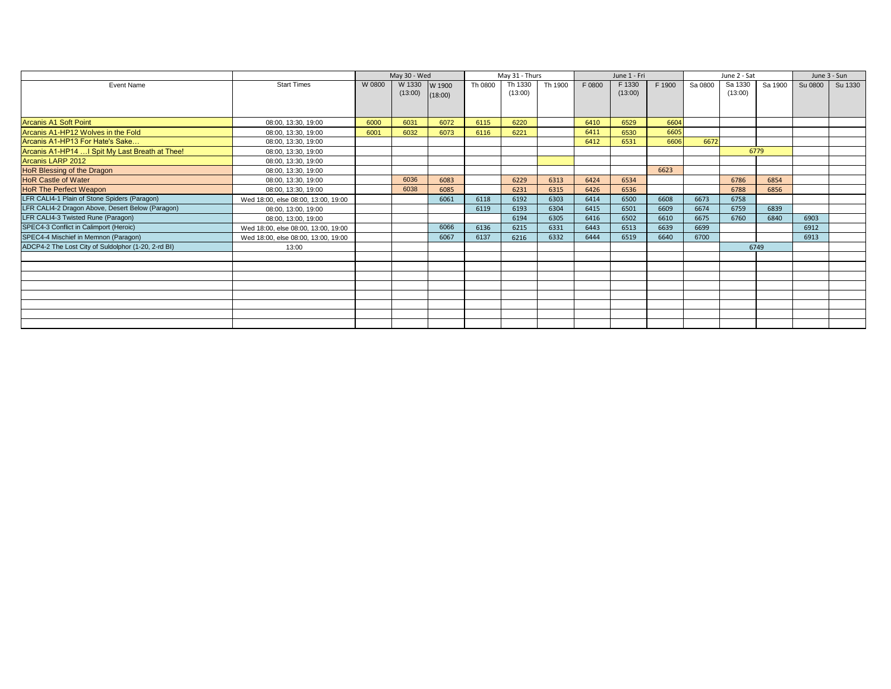|                                                     |                                     |        | May 30 - Wed |         |         | May 31 - Thurs |         |        | June 1 - Fri |        |         | June 2 - Sat |         |         | June 3 - Sun |
|-----------------------------------------------------|-------------------------------------|--------|--------------|---------|---------|----------------|---------|--------|--------------|--------|---------|--------------|---------|---------|--------------|
| Event Name                                          | <b>Start Times</b>                  | W 0800 | W 1330       | W 1900  | Th 0800 | Th 1330        | Th 1900 | F 0800 | F 1330       | F 1900 | Sa 0800 | Sa 1330      | Sa 1900 | Su 0800 | Su 1330      |
|                                                     |                                     |        | (13:00)      | (18:00) |         | (13:00)        |         |        | (13:00)      |        |         | (13:00)      |         |         |              |
|                                                     |                                     |        |              |         |         |                |         |        |              |        |         |              |         |         |              |
|                                                     |                                     |        |              |         |         |                |         |        |              |        |         |              |         |         |              |
| <b>Arcanis A1 Soft Point</b>                        | 08:00, 13:30, 19:00                 | 6000   | 6031         | 6072    | 6115    | 6220           |         | 6410   | 6529         | 6604   |         |              |         |         |              |
| Arcanis A1-HP12 Wolves in the Fold                  | 08:00, 13:30, 19:00                 | 6001   | 6032         | 6073    | 6116    | 6221           |         | 6411   | 6530         | 6605   |         |              |         |         |              |
| Arcanis A1-HP13 For Hate's Sake                     | 08:00, 13:30, 19:00                 |        |              |         |         |                |         | 6412   | 6531         | 6606   | 6672    |              |         |         |              |
| Arcanis A1-HP14  I Spit My Last Breath at Thee!     | 08:00, 13:30, 19:00                 |        |              |         |         |                |         |        |              |        |         |              | 6779    |         |              |
| Arcanis LARP 2012                                   | 08:00, 13:30, 19:00                 |        |              |         |         |                |         |        |              |        |         |              |         |         |              |
| HoR Blessing of the Dragon                          | 08:00, 13:30, 19:00                 |        |              |         |         |                |         |        |              | 6623   |         |              |         |         |              |
| <b>HoR Castle of Water</b>                          | 08:00, 13:30, 19:00                 |        | 6036         | 6083    |         | 6229           | 6313    | 6424   | 6534         |        |         | 6786         | 6854    |         |              |
| <b>HoR The Perfect Weapon</b>                       | 08:00, 13:30, 19:00                 |        | 6038         | 6085    |         | 6231           | 6315    | 6426   | 6536         |        |         | 6788         | 6856    |         |              |
| LFR CALI4-1 Plain of Stone Spiders (Paragon)        | Wed 18:00, else 08:00, 13:00, 19:00 |        |              | 6061    | 6118    | 6192           | 6303    | 6414   | 6500         | 6608   | 6673    | 6758         |         |         |              |
| LFR CALI4-2 Dragon Above, Desert Below (Paragon)    | 08:00, 13:00, 19:00                 |        |              |         | 6119    | 6193           | 6304    | 6415   | 6501         | 6609   | 6674    | 6759         | 6839    |         |              |
| LFR CALI4-3 Twisted Rune (Paragon)                  | 08:00, 13:00, 19:00                 |        |              |         |         | 6194           | 6305    | 6416   | 6502         | 6610   | 6675    | 6760         | 6840    | 6903    |              |
| SPEC4-3 Conflict in Calimport (Heroic)              | Wed 18:00, else 08:00, 13:00, 19:00 |        |              | 6066    | 6136    | 6215           | 6331    | 6443   | 6513         | 6639   | 6699    |              |         | 6912    |              |
| SPEC4-4 Mischief in Memnon (Paragon)                | Wed 18:00, else 08:00, 13:00, 19:00 |        |              | 6067    | 6137    | 6216           | 6332    | 6444   | 6519         | 6640   | 6700    |              |         | 6913    |              |
| ADCP4-2 The Lost City of Suldolphor (1-20, 2-rd BI) | 13:00                               |        |              |         |         |                |         |        |              |        |         |              | 6749    |         |              |
|                                                     |                                     |        |              |         |         |                |         |        |              |        |         |              |         |         |              |
|                                                     |                                     |        |              |         |         |                |         |        |              |        |         |              |         |         |              |
|                                                     |                                     |        |              |         |         |                |         |        |              |        |         |              |         |         |              |
|                                                     |                                     |        |              |         |         |                |         |        |              |        |         |              |         |         |              |
|                                                     |                                     |        |              |         |         |                |         |        |              |        |         |              |         |         |              |
|                                                     |                                     |        |              |         |         |                |         |        |              |        |         |              |         |         |              |
|                                                     |                                     |        |              |         |         |                |         |        |              |        |         |              |         |         |              |
|                                                     |                                     |        |              |         |         |                |         |        |              |        |         |              |         |         |              |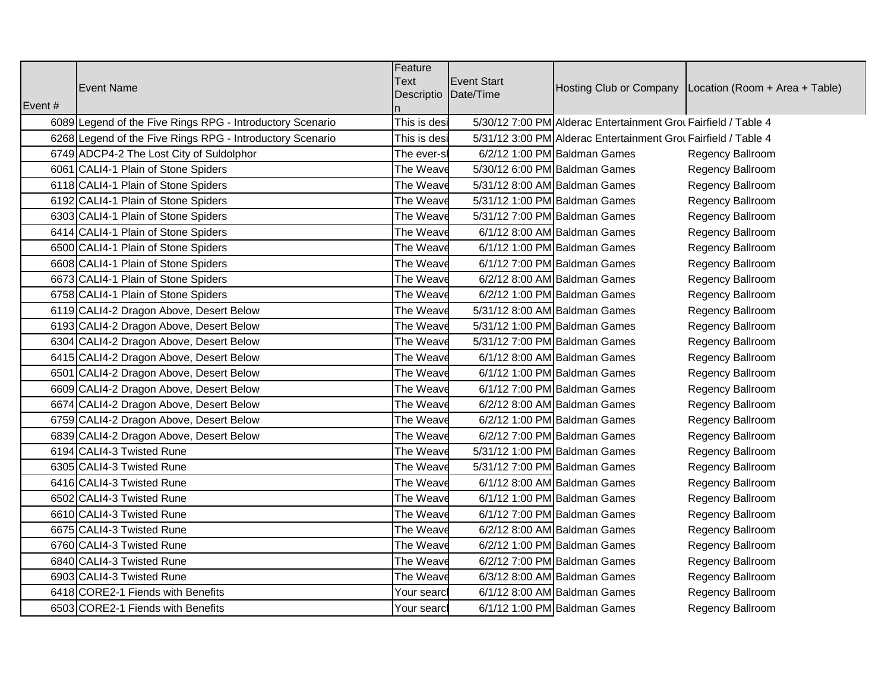|                                                           | Feature<br><b>Text</b><br>Event Start                                          |                                                        |
|-----------------------------------------------------------|--------------------------------------------------------------------------------|--------------------------------------------------------|
| <b>Event Name</b>                                         | Descriptio Date/Time                                                           | Hosting Club or Company Location (Room + Area + Table) |
| vent #                                                    |                                                                                |                                                        |
| 6089 Legend of the Five Rings RPG - Introductory Scenario | 5/30/12 7:00 PM Alderac Entertainment Grou Fairfield / Table 4<br>This is desi |                                                        |
| 6268 Legend of the Five Rings RPG - Introductory Scenario | 5/31/12 3:00 PM Alderac Entertainment Grou Fairfield / Table 4<br>This is desi |                                                        |
| 6749 ADCP4-2 The Lost City of Suldolphor                  | 6/2/12 1:00 PM Baldman Games<br>The ever-s                                     | Regency Ballroom                                       |
| 6061 CALI4-1 Plain of Stone Spiders                       | 5/30/12 6:00 PM Baldman Games<br>The Weave                                     | Regency Ballroom                                       |
| 6118 CALI4-1 Plain of Stone Spiders                       | The Weave<br>5/31/12 8:00 AM Baldman Games                                     | Regency Ballroom                                       |
| 6192 CALI4-1 Plain of Stone Spiders                       | The Weave<br>5/31/12 1:00 PM Baldman Games                                     | Regency Ballroom                                       |
| 6303 CALI4-1 Plain of Stone Spiders                       | 5/31/12 7:00 PM Baldman Games<br>The Weav                                      | Regency Ballroom                                       |
| 6414 CALI4-1 Plain of Stone Spiders                       | 6/1/12 8:00 AM Baldman Games<br>The Weav                                       | Regency Ballroom                                       |
| 6500 CALI4-1 Plain of Stone Spiders                       | The Weav<br>6/1/12 1:00 PM Baldman Games                                       | Regency Ballroom                                       |
| 6608 CALI4-1 Plain of Stone Spiders                       | The Weav<br>6/1/12 7:00 PM Baldman Games                                       | Regency Ballroom                                       |
| 6673 CALI4-1 Plain of Stone Spiders                       | The Weave<br>6/2/12 8:00 AM Baldman Games                                      | Regency Ballroom                                       |
| 6758 CALI4-1 Plain of Stone Spiders                       | The Weave<br>6/2/12 1:00 PM Baldman Games                                      | Regency Ballroom                                       |
| 6119 CALI4-2 Dragon Above, Desert Below                   | The Weav<br>5/31/12 8:00 AM Baldman Games                                      | Regency Ballroom                                       |
| 6193 CALI4-2 Dragon Above, Desert Below                   | The Weave<br>5/31/12 1:00 PM Baldman Games                                     | Regency Ballroom                                       |
| 6304 CALI4-2 Dragon Above, Desert Below                   | The Weave<br>5/31/12 7:00 PM Baldman Games                                     | Regency Ballroom                                       |
| 6415 CALI4-2 Dragon Above, Desert Below                   | 6/1/12 8:00 AM Baldman Games<br>The Weav                                       | Regency Ballroom                                       |
| 6501 CALI4-2 Dragon Above, Desert Below                   | The Weave<br>6/1/12 1:00 PM Baldman Games                                      | Regency Ballroom                                       |
| 6609 CALI4-2 Dragon Above, Desert Below                   | The Weav<br>6/1/12 7:00 PM Baldman Games                                       | Regency Ballroom                                       |
| 6674 CALI4-2 Dragon Above, Desert Below                   | The Weav<br>6/2/12 8:00 AM Baldman Games                                       | Regency Ballroom                                       |
| 6759 CALI4-2 Dragon Above, Desert Below                   | The Weave<br>6/2/12 1:00 PM Baldman Games                                      | Regency Ballroom                                       |
| 6839 CALI4-2 Dragon Above, Desert Below                   | The Weave<br>6/2/12 7:00 PM Baldman Games                                      | Regency Ballroom                                       |
| 6194 CALI4-3 Twisted Rune                                 | The Weav<br>5/31/12 1:00 PM Baldman Games                                      | Regency Ballroom                                       |
| 6305 CALI4-3 Twisted Rune                                 | 5/31/12 7:00 PM Baldman Games<br>The Weave                                     | Regency Ballroom                                       |
| 6416 CALI4-3 Twisted Rune                                 | 6/1/12 8:00 AM Baldman Games<br>The Weav                                       | Regency Ballroom                                       |
| 6502 CALI4-3 Twisted Rune                                 | 6/1/12 1:00 PM Baldman Games<br>The Weav                                       | Regency Ballroom                                       |
| 6610 CALI4-3 Twisted Rune                                 | 6/1/12 7:00 PM Baldman Games<br>The Weave                                      | Regency Ballroom                                       |
| 6675 CALI4-3 Twisted Rune                                 | 6/2/12 8:00 AM Baldman Games<br>The Weav                                       | Regency Ballroom                                       |
| 6760 CALI4-3 Twisted Rune                                 | The Weave<br>6/2/12 1:00 PM Baldman Games                                      | Regency Ballroom                                       |
| 6840 CALI4-3 Twisted Rune                                 | The Weave<br>6/2/12 7:00 PM Baldman Games                                      | Regency Ballroom                                       |
| 6903 CALI4-3 Twisted Rune                                 | 6/3/12 8:00 AM Baldman Games<br>The Weav                                       | Regency Ballroom                                       |
| 6418 CORE2-1 Fiends with Benefits                         | 6/1/12 8:00 AM Baldman Games<br>Your sear                                      | Regency Ballroom                                       |
| 6503 CORE2-1 Fiends with Benefits                         | 6/1/12 1:00 PM Baldman Games<br>lYour searcl                                   | Regency Ballroom                                       |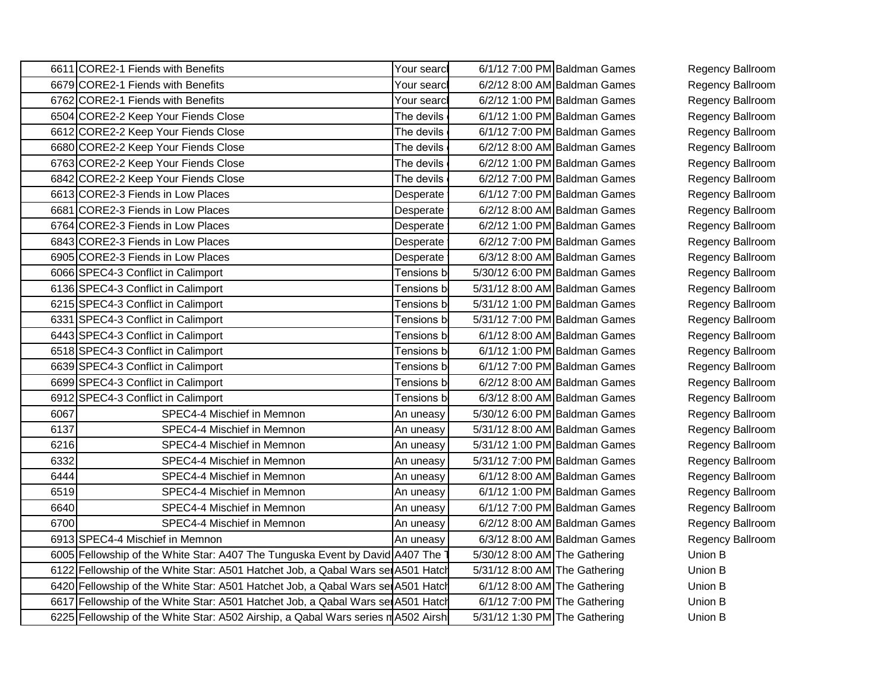| 6611 CORE2-1 Fiends with Benefits                                               |                                                                                                                                                | Your searcl                         | 6/1/12 7:00 PM Baldman Games                                   | Regency Ballroom        |
|---------------------------------------------------------------------------------|------------------------------------------------------------------------------------------------------------------------------------------------|-------------------------------------|----------------------------------------------------------------|-------------------------|
| 6679 CORE2-1 Fiends with Benefits                                               |                                                                                                                                                | Your searcl                         | 6/2/12 8:00 AM Baldman Games                                   | Regency Ballroom        |
| and the state of the state of the state of<br>6762 CORE2-1 Fiends with Benefits |                                                                                                                                                | 'our searcl                         | 6/2/12 1:00 PM Baldman Games                                   | Regency Ballroom        |
|                                                                                 | 6504 CORE2-2 Keep Your Fiends Close                                                                                                            | The devils I                        | 6/1/12 1:00 PM Baldman Games                                   | Regency Ballroom        |
|                                                                                 | 6612 CORE2-2 Keep Your Fiends Close                                                                                                            | The devils                          | 6/1/12 7:00 PM Baldman Games                                   | Regency Ballroom        |
|                                                                                 | 6680 CORE2-2 Keep Your Fiends Close                                                                                                            | The devils $\overline{\phantom{a}}$ | 6/2/12 8:00 AM Baldman Games                                   | <b>Regency Ballroom</b> |
| 6763 CORE2-2 Keep Your Fiends Close                                             |                                                                                                                                                | The devils                          | 6/2/12 1:00 PM Baldman Games                                   | Regency Ballroom        |
|                                                                                 | 6842 CORE2-2 Keep Your Fiends Close                                                                                                            | The devils                          | 6/2/12 7:00 PM Baldman Games                                   | Regency Ballroom        |
| 6613 CORE2-3 Fiends in Low Places                                               |                                                                                                                                                | esperate l                          | 6/1/12 7:00 PM Baldman Games                                   | Regency Ballroom        |
| 6681 CORE2-3 Fiends in Low Places                                               |                                                                                                                                                | esperate l                          | 6/2/12 8:00 AM Baldman Games                                   | Regency Ballroom        |
| 6764 CORE2-3 Fiends in Low Places                                               |                                                                                                                                                | )esperate l                         | 6/2/12 1:00 PM Baldman Games                                   | Regency Ballroom        |
| 6843 CORE2-3 Fiends in Low Places                                               |                                                                                                                                                | )esperate                           | 6/2/12 7:00 PM Baldman Games                                   | Regency Ballroom        |
| 6905 CORE2-3 Fiends in Low Places                                               |                                                                                                                                                | Desperate I                         | 6/3/12 8:00 AM Baldman Games                                   | Regency Ballroom        |
| 6066 SPEC4-3 Conflict in Calimpor                                               |                                                                                                                                                | ensions h                           | 5/30/12 6:00 PM Baldman Games                                  | Regency Ballroom        |
| 6136 SPEC4-3 Conflict in Calimpor                                               |                                                                                                                                                |                                     | 5/31/12 8:00 AM Baldman Games                                  | Regency Ballroom        |
| 6215 SPEC4-3 Conflict in Calimpor                                               |                                                                                                                                                |                                     | 5/31/12 1:00 PM Baldman Games                                  | Regency Ballroom        |
| 6331 SPEC4-3 Conflict in Calimpor                                               |                                                                                                                                                |                                     | 5/31/12 7:00 PM Baldman Games                                  | Regency Ballroom        |
| 6443 SPEC4-3 Conflict in Calimpor                                               |                                                                                                                                                |                                     | 6/1/12 8:00 AM Baldman Games                                   | Regency Ballroom        |
| 6518 SPEC4-3 Conflict in Calimport                                              |                                                                                                                                                |                                     | 6/1/12 1:00 PM Baldman Games                                   | Regency Ballroom        |
| 6639 SPEC4-3 Conflict in Calimpor                                               |                                                                                                                                                |                                     | 6/1/12 7:00 PM Baldman Games                                   | Regency Ballroom        |
| 6699 SPEC4-3 Conflict in Calimport                                              |                                                                                                                                                | ∍nei∩ne                             | 6/2/12 8:00 AM Baldman Games                                   | Regency Ballroom        |
| 6912 SPEC4-3 Conflict in Calimport                                              |                                                                                                                                                | ∍neı∩ne                             | 6/3/12 8:00 AM Baldman Games                                   | Regency Ballroom        |
| -60F                                                                            | SPEC4-4 Mischief in Memnon                                                                                                                     | uneasy                              | 5/30/12 6:00 PM Baldman Games                                  | Regency Ballroom        |
|                                                                                 | SPEC4-4 Mischief in Memnon                                                                                                                     | uneasy                              | 5/31/12 8:00 AM Baldman Games                                  | Regency Ballroom        |
|                                                                                 | SPEC4-4 Mischief in Memnon                                                                                                                     | uneasyl                             | 5/31/12 1:00 PM Baldman Games                                  | <b>Regency Ballroom</b> |
|                                                                                 | SPEC4-4 Mischief in Memnon                                                                                                                     | uneasy                              | 5/31/12 7:00 PM Baldman Games                                  | <b>Regency Ballroom</b> |
| 644                                                                             | SPEC4-4 Mischief in Memnon                                                                                                                     | uneasv                              | 6/1/12 8:00 AM Baldman Games                                   | <b>Regency Ballroom</b> |
| $\sim$ $\sim$ $\sim$ $\sim$<br>- 651.                                           | SPEC4-4 Mischief in Memnon                                                                                                                     | <i><b>Ineasy</b></i>                | 6/1/12 1:00 PM Baldman Games                                   | Regency Ballroom        |
| -664                                                                            | SPEC4-4 Mischief in Memnon                                                                                                                     | uneasy                              | 6/1/12 7:00 PM Baldman Games                                   | Regency Ballroom        |
|                                                                                 |                                                                                                                                                |                                     |                                                                |                         |
|                                                                                 |                                                                                                                                                | <i><b>Ineasy</b></i>                |                                                                |                         |
|                                                                                 | SPEC4-4 Mischief in Memnon                                                                                                                     |                                     | 6/2/12 8:00 AM Baldman Games                                   | Regency Ballroom        |
| 6913 SPEC4-4 Mischief in Memnon                                                 |                                                                                                                                                |                                     | 6/3/12 8:00 AM Baldman Games                                   | <b>Regency Ballroom</b> |
|                                                                                 | 6005 Fellowship of the White Star: A407 The Tunguska Event by David A407                                                                       | 1 Hatch                             | 5/30/12 8:00 AM The Gathering                                  | Union B                 |
|                                                                                 | Fellowship of the White Star: A501 Hatchet Job, a Qabal Wars set A5                                                                            |                                     | 5/31/12 8:00 AM The Gathering                                  | Union B                 |
|                                                                                 | 6420 Fellowship of the White Star: A501 Hatchet Job, a Qabal Wars set A5<br>7 Fellowship of the White Star: A501 Hatchet Job, a Qabal Wars ser |                                     | $6/1/12$ 8:00 AM The Gathering<br>6/1/12 7:00 PM The Gathering | Union B<br>Union B      |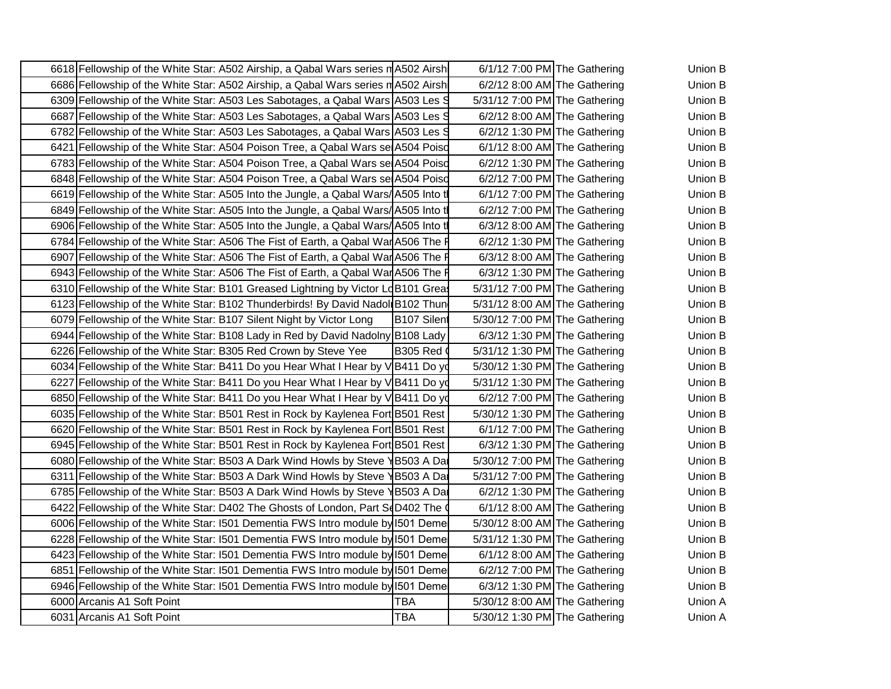| 6618 Fellowship of the White Star: A502 Airship, a Qabal Wars series mA502 Airsh 6/1/12 7:00 PM The Gathering               | Union B        |  |
|-----------------------------------------------------------------------------------------------------------------------------|----------------|--|
| 6686 Fellowship of the White Star: A502 Airship, a Qabal Wars series n A502 Airsh 6/2/12 8:00 AM The Gathering              | <b>Union B</b> |  |
| 09 Fellowship of the White Star: A503 Les Sabotages, a Qabal Wars A503 Les S 5/31/12 7:00 PM The Gathering                  | <b>Union B</b> |  |
| 6687 Fellowship of the White Star: A503 Les Sabotages, a Qabal Wars A503 Les S 6/2/12 8:00 AM The Gathering                 | Union B        |  |
| 782 Fellowship of the White Star: A503 Les Sabotages, a Qabal Wars A503 Les Strass 6/2/12 1:30 PM The Gathering             | Union B        |  |
| 6421 Fellowship of the White Star: A504 Poison Tree, a Qabal Wars se A504 Poisd 6/1/12 8:00 AM The Gathering                | Union B        |  |
| 6783 Fellowship of the White Star: A504 Poison Tree, a Qabal Wars se A504 Poisd 6/2/12 1:30 PM The Gathering                | Union B        |  |
| 6848 Fellowship of the White Star: A504 Poison Tree, a Qabal Wars se A504 Poisd 6/2/12 7:00 PM The Gathering                | Union B        |  |
| 619 Fellowship of the White Star: A505 Into the Jungle, a Qabal Wars/ A505 Into t<br>$6/1/12$ 7:00 PM The Gathering         | Union B        |  |
| 6849 Fellowship of the White Star: A505 Into the Jungle, a Qabal Wars/A505 Into the 6/2/12 7:00 PM The Gathering            | Union B        |  |
| 6906 Fellowship of the White Star: A505 Into the Jungle, a Qabal Wars/A505 Into two 6/3/12 8:00 AM The Gathering            | Union B        |  |
| 6784 Fellowship of the White Star: A506 The Fist of Earth, a Qabal War A506 The F 6/2/12 1:30 PM The Gathering              | Union B        |  |
| 6907 Fellowship of the White Star: A506 The Fist of Earth, a Qabal War A506 The F 6/3/12 8:00 AM The Gathering              | Union B        |  |
| 6943 Fellowship of the White Star: A506 The Fist of Earth, a Qabal War A506 The $\frac{1}{10}$ 6/3/12 1:30 PM The Gathering | Union B        |  |
| 10 Fellowship of the White Star: B101 Greased Lightning by Victor LdB101 Grea: 5/31/12 7:00 PM The Gathering                | Union B        |  |
| 3 Fellowship of the White Star: B102 Thunderbirds! By David Nadol B102 Thun 5/31/12 8:00 AM The Gathering                   | Union B        |  |
| 79 Fellowship of the White Star: B107 Silent Night by Victor Long   B107 Silen 5/30/12 7:00 PM The Gathering                | Union B        |  |
| 6944 Fellowship of the White Star: B108 Lady in Red by David Nadolny B108 Lady   6/3/12 1:30 PM The Gathering               | Union B        |  |
| 6226 Fellowship of the White Star: B305 Red Crown by Steve Yee   B305 Red (<br>5/31/12 1:30 PM The Gathering                | Union B        |  |
| 034 Fellowship of the White Star: B411 Do you Hear What I Hear by V B<br>1 Do yd 5/30/12 1:30 PM The Gathering              | Union B        |  |
| 27 Fellowship of the White Star: B411 Do you Hear What I Hear by \<br>Do yd 5/31/12 1:30 PM The Gathering                   | Union B        |  |
| 6850 Fellowship of the White Star: B411 Do you Hear What I Hear by V B411 Do yd 6/2/12 7:00 PM The Gathering                | Union B        |  |
| 6035 Fellowship of the White Star: B501 Rest in Rock by Kaylenea Fort B501 Rest   5/30/12 1:30 PM The Gathering             | Union B        |  |
| 6620 Fellowship of the White Star: B501 Rest in Rock by Kaylenea Fort B501 Rest   6/1/12 7:00 PM The Gathering              | Union B        |  |
| 6945 Fellowship of the White Star: B501 Rest in Rock by Kaylenea Fort B501 Rest   6/3/12 1:30 PM The Gathering              | Union B        |  |
| 6080 Fellowship of the White Star: B503 A Dark Wind Howls by Steve \B503 A Da   5/30/12 7:00 PM The Gathering               | Union B        |  |
| 11 Fellowship of the White Star: B503 A Dark Wind Howls by Steve 1B503 A Da   5/31/12 7:00 PM The Gathering                 | Union B        |  |
| 6785 Fellowship of the White Star: B503 A Dark Wind Howls by Steve \B503 A Da 6/2/12 1:30 PM The Gathering                  | Union B        |  |
| 6422 Fellowship of the White Star: D402 The Ghosts of London, Part SoD402 The $\sim$ 6/1/12 8:00 AM The Gathering           | Union B        |  |
| 6006 Fellowship of the White Star: I501 Dementia FWS Intro module by I501 Deme 5/30/12 8:00 AM The Gathering                | Union B        |  |
| 228 Fellowship of the White Star: I501 Dementia FWS Intro module by 1501 Deme 5/31/12 1:30 PM The Gathering                 | Union B        |  |
| 6423 Fellowship of the White Star: 1501 Dementia FWS Intro module by 1501 Deme 6/1/12 8:00 AM The Gathering                 | Union B        |  |
| 6851 Fellowship of the White Star: 1501 Dementia FWS Intro module by 1501 Deme 6/2/12 7:00 PM The Gathering                 | Union B        |  |
| 6946 Fellowship of the White Star: 1501 Dementia FWS Intro module by 1501 Deme 6/3/12 1:30 PM The Gathering                 | Union B        |  |
| 5/30/12 8:00 AM The Gathering<br>6000 Arcanis A1 Soft Point                                                                 | Union A        |  |
| 6031 Arcanis A1 Soft Point<br>5/30/12 1:30 PM The Gathering                                                                 | Union A        |  |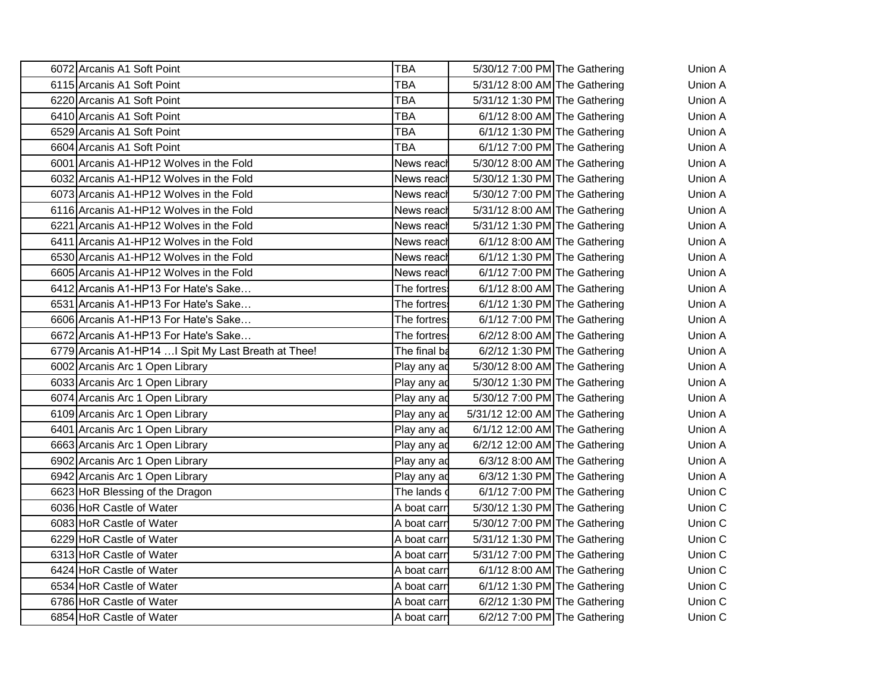| 6072 Arcanis A1 Soft Point                         | 5/30/12 7:00 PM The Gathering<br><b>TBA</b>          | <b>Union A</b> |  |  |  |
|----------------------------------------------------|------------------------------------------------------|----------------|--|--|--|
| 6115 Arcanis A1 Soft Point                         | TRA<br>5/31/12 8:00 AM The Gathering                 | Union A        |  |  |  |
| 6220 Arcanis A1 Soft Point                         | 5/31/12 1:30 PM The Gathering                        | Union A        |  |  |  |
| 6410 Arcanis A1 Soft Point                         | TRA<br>6/1/12 8:00 AM The Gathering                  | Union A        |  |  |  |
| 6529 Arcanis A1 Soft Point                         | <b>TRA</b><br>$6/1/12$ 1:30 PM The Gathering         | Union A        |  |  |  |
| 6604 Arcanis A1 Soft Point                         | <b>TBA</b><br>$6/1/12$ 7:00 PM The Gathering         | Union A        |  |  |  |
| 6001 Arcanis A1-HP12 Wolves in the Fold            | 5/30/12 8:00 AM The Gathering<br>News reac           | Union A        |  |  |  |
| 6032 Arcanis A1-HP12 Wolves in the Fold            | News reach<br>5/30/12 1:30 PM The Gathering          | Union A        |  |  |  |
| 6073 Arcanis A1-HP12 Wolves in the Fold            | News reac<br>5/30/12 7:00 PM The Gathering           | Union A        |  |  |  |
| 6116 Arcanis A1-HP12 Wolves in the Fold            | News reach<br>5/31/12 8:00 AM The Gathering          | Union A        |  |  |  |
| 6221 Arcanis A1-HP12 Wolves in the Fold            | 5/31/12 1:30 PM The Gathering<br>News reach          | Union A        |  |  |  |
| 6411 Arcanis A1-HP12 Wolves in the Fold            | 6/1/12 8:00 AM The Gathering<br>News reac            | Union A        |  |  |  |
| 6530 Arcanis A1-HP12 Wolves in the Fold            | 6/1/12 1:30 PM The Gathering<br>News reach           | Union A        |  |  |  |
| 6605 Arcanis A1-HP12 Wolves in the Fold            | 6/1/12 7:00 PM The Gathering<br>News reac            | Union A        |  |  |  |
| 6412 Arcanis A1-HP13 For Hate's Sake               | <b>The fortres</b><br>$6/1/12$ 8:00 AM The Gathering | Union A        |  |  |  |
| 6531 Arcanis A1-HP13 For Hate's Sake               | The fortres<br>6/1/12 1:30 PM The Gathering          | Union A        |  |  |  |
| 6606 Arcanis A1-HP13 For Hate's Sake               | The fortres<br>6/1/12 7:00 PM The Gathering          | Union A        |  |  |  |
| 6672 Arcanis A1-HP13 For Hate's Sake               | The fortres<br>6/2/12 8:00 AM The Gathering          | Union A        |  |  |  |
| 6779 Arcanis A1-HP14  Spit My Last Breath at Thee! | The final b<br>$6/2/12$ 1:30 PM The Gathering        | Union A        |  |  |  |
| 6002 Arcanis Arc 1 Open Library                    | $5/30/12$ 8:00 AM The Gathering<br>Play any a        | Union A        |  |  |  |
| 6033 Arcanis Arc 1 Open Library                    | Play any a<br>5/30/12 1:30 PM The Gathering          | Union A        |  |  |  |
| 6074 Arcanis Arc 1 Open Library                    | 5/30/12 7:00 PM The Gathering<br>Play any a          | Union A        |  |  |  |
| 6109 Arcanis Arc 1 Open Library                    | 5/31/12 12:00 AM The Gathering<br>Play any a         | Union A        |  |  |  |
| 6401 Arcanis Arc 1 Open Library                    | 6/1/12 12:00 AM The Gathering<br>Play any a          | Union A        |  |  |  |
| 6663 Arcanis Arc 1 Open Library                    | 6/2/12 12:00 AM The Gathering<br>Play any a          | Union A        |  |  |  |
| 6902 Arcanis Arc 1 Open Library                    | $6/3/12$ 8:00 AM The Gathering<br>Play any a         | Union A        |  |  |  |
| 6942 Arcanis Arc 1 Open Library                    | $6/3/12$ 1:30 PM The Gathering<br><b>IPlay any a</b> | Union A        |  |  |  |
| 6623 HoR Blessing of the Dragon                    | <b>The lands</b><br>$6/1/12$ 7:00 PM The Gathering   | Union C        |  |  |  |
| 6036 HoR Castle of Water                           | A boat car<br>5/30/12 1:30 PM The Gathering          | Union C        |  |  |  |
| 6083 HoR Castle of Water                           | 5/30/12 7:00 PM The Gathering<br>A boat carr         | Union C        |  |  |  |
| 6229 HoR Castle of Water                           | A boat car<br>5/31/12 1:30 PM The Gathering          | Union C        |  |  |  |
| 6313 HoR Castle of Water                           | 5/31/12 7:00 PM The Gathering<br>A boat carr         | Union C        |  |  |  |
| 6424 HoR Castle of Water                           | A boat carr<br>6/1/12 8:00 AM The Gathering          | Union C        |  |  |  |
| 6534 HoR Castle of Water                           | 6/1/12 1:30 PM The Gathering<br>A boat car           | Union C        |  |  |  |
| 6786 HoR Castle of Water                           | A boat car<br>6/2/12 1:30 PM The Gathering           | Union C        |  |  |  |
| 6854 HoR Castle of Water                           | 6/2/12 7:00 PM The Gathering<br>A boat carr          | Union C        |  |  |  |